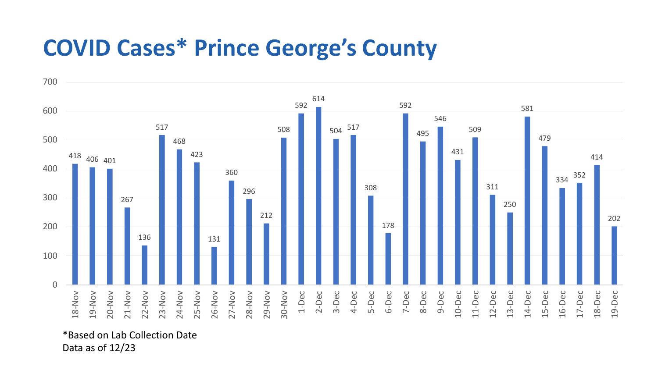## **COVID Cases\* Prince George's County**



\*Based on Lab Collection Date Data as of 12/23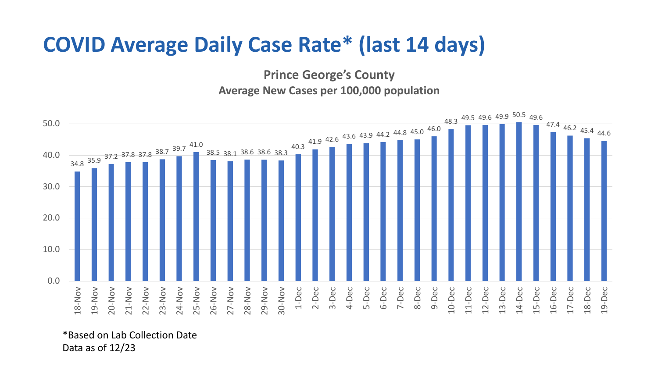## **COVID Average Daily Case Rate\* (last 14 days)**

**Prince George's County Average New Cases per 100,000 population**



\*Based on Lab Collection Date Data as of 12/23